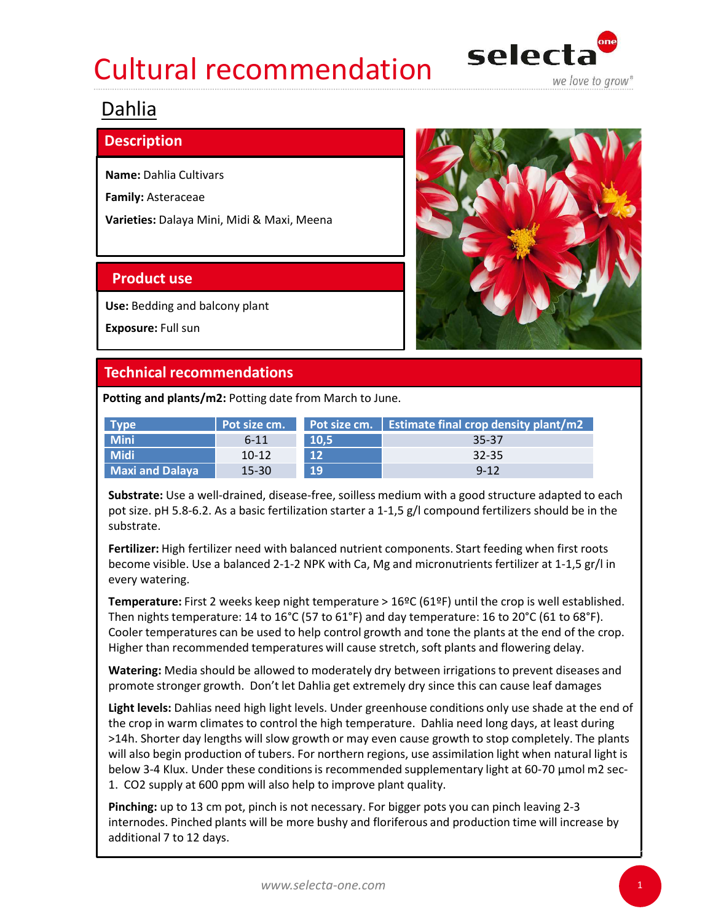# Cultural recommendation selecta Experiment Commendation<br>
Dahlia<br>
Description<br>
Name: Dahlia Cultivars<br>
Family: Asteraceae<br>
Varieties: Dalaya Mini, Midi & Maxi, Meena<br>
Product use<br>
Use: Bedding and belcom plant Ultural recommendation<br> **Selection**<br> **Examply:** Asteraceae<br> **Examply:** Asteraceae<br> **Product use**<br> **Product use**<br> **Product use**<br> **Product use**<br> **Product use**<br> **Product use**<br> **Product Use**<br> **Product Use**



# Dahlia

## **Description**

|                                                         |                    |              |                                                                                                                                                                                                                                                                                                             | we love to grow |
|---------------------------------------------------------|--------------------|--------------|-------------------------------------------------------------------------------------------------------------------------------------------------------------------------------------------------------------------------------------------------------------------------------------------------------------|-----------------|
| Dahlia                                                  |                    |              |                                                                                                                                                                                                                                                                                                             |                 |
| <b>Description</b>                                      |                    |              |                                                                                                                                                                                                                                                                                                             |                 |
| <b>Name: Dahlia Cultivars</b>                           |                    |              |                                                                                                                                                                                                                                                                                                             |                 |
| Family: Asteraceae                                      |                    |              |                                                                                                                                                                                                                                                                                                             |                 |
| Varieties: Dalaya Mini, Midi & Maxi, Meena              |                    |              |                                                                                                                                                                                                                                                                                                             |                 |
| <b>Product use</b>                                      |                    |              |                                                                                                                                                                                                                                                                                                             |                 |
| Use: Bedding and balcony plant                          |                    |              |                                                                                                                                                                                                                                                                                                             |                 |
| Exposure: Full sun                                      |                    |              |                                                                                                                                                                                                                                                                                                             |                 |
| <b>Technical recommendations</b>                        |                    |              |                                                                                                                                                                                                                                                                                                             |                 |
| Potting and plants/m2: Potting date from March to June. |                    |              |                                                                                                                                                                                                                                                                                                             |                 |
| <b>Type</b>                                             | Pot size cm.       | Pot size cm. | <b>Estimate final crop density plant/m2</b>                                                                                                                                                                                                                                                                 |                 |
| <b>Mini</b>                                             | $6 - 11$           | 10,5         | 35-37                                                                                                                                                                                                                                                                                                       |                 |
| <b>Midi</b><br><b>Maxi and Dalaya</b>                   | $10 - 12$<br>15-30 | 12<br>19     | 32-35<br>$9 - 12$                                                                                                                                                                                                                                                                                           |                 |
| substrate.                                              |                    |              | Substrate: Use a well-drained, disease-free, soilless medium with a good structure adapted to each<br>pot size. pH 5.8-6.2. As a basic fertilization starter a 1-1,5 g/l compound fertilizers should be in the                                                                                              |                 |
| every watering.                                         |                    |              | Fertilizer: High fertilizer need with balanced nutrient components. Start feeding when first roots<br>become visible. Use a balanced 2-1-2 NPK with Ca, Mg and micronutrients fertilizer at 1-1,5 gr/l in                                                                                                   |                 |
|                                                         |                    |              | Temperature: First 2 weeks keep night temperature > 16ºC (61ºF) until the crop is well established.<br>Then nights temperature: 14 to 16°C (57 to 61°F) and day temperature: 16 to 20°C (61 to 68°F).<br>Cooler temperatures can be used to help control growth and tone the plants at the end of the crop. |                 |

Temperature: First 2 weeks keep night temperature > 16ºC (61ºF) until the crop is well established. Then nights temperature: 14 to 16°C (57 to 61°F) and day temperature: 16 to 20°C (61 to 68°F). Cooler temperatures can be used to help control growth and tone the plants at the end of the crop. Higher than recommended temperatures will cause stretch, soft plants and flowering delay.

Watering: Media should be allowed to moderately dry between irrigations to prevent diseases and promote stronger growth. Don't let Dahlia get extremely dry since this can cause leaf damages

Light levels: Dahlias need high light levels. Under greenhouse conditions only use shade at the end of the crop in warm climates to control the high temperature. Dahlia need long days, at least during >14h. Shorter day lengths will slow growth or may even cause growth to stop completely. The plants will also begin production of tubers. For northern regions, use assimilation light when natural light is below 3-4 Klux. Under these conditions is recommended supplementary light at 60-70  $\mu$ mol m2 sec-1. CO2 supply at 600 ppm will also help to improve plant quality. Frerillizer: High fertilizer need with balanced nutrient components. Start feeding when first roots<br>become visible. Use a balanced 2-1-2 NPK with Ca, Mg and micronutrients fertilizer at 1-1,5 gr/l in<br>every watering.<br>Then

Pinching: up to 13 cm pot, pinch is not necessary. For bigger pots you can pinch leaving 2-3 additional 7 to 12 days.

1